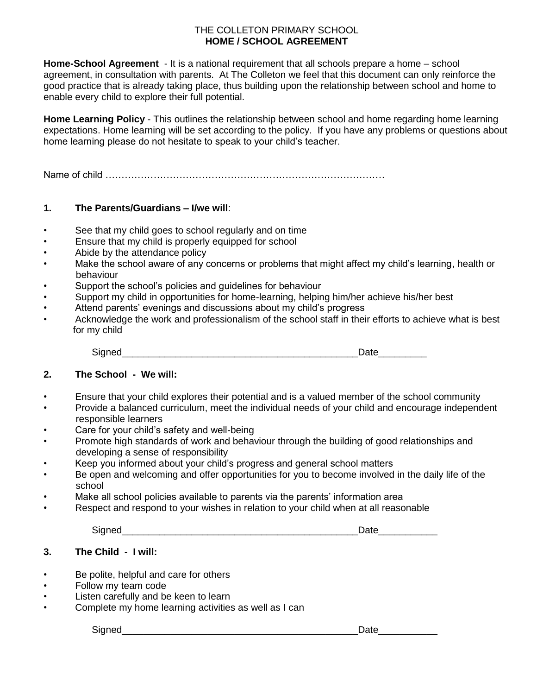#### THE COLLETON PRIMARY SCHOOL **HOME / SCHOOL AGREEMENT**

**Home-School Agreement** - It is a national requirement that all schools prepare a home – school agreement, in consultation with parents. At The Colleton we feel that this document can only reinforce the good practice that is already taking place, thus building upon the relationship between school and home to enable every child to explore their full potential.

**Home Learning Policy** - This outlines the relationship between school and home regarding home learning expectations. Home learning will be set according to the policy. If you have any problems or questions about home learning please do not hesitate to speak to your child's teacher.

Name of child ……………………………………………………………………………

#### **1. The Parents/Guardians – I/we will**:

- See that my child goes to school regularly and on time
- Ensure that my child is properly equipped for school
- Abide by the attendance policy
- Make the school aware of any concerns or problems that might affect my child's learning, health or behaviour
- Support the school's policies and quidelines for behaviour
- Support my child in opportunities for home-learning, helping him/her achieve his/her best
- Attend parents' evenings and discussions about my child's progress
- Acknowledge the work and professionalism of the school staff in their efforts to achieve what is best for my child

|  | _<br>__ |  |
|--|---------|--|
|  |         |  |

## **2. The School - We will:**

- Ensure that your child explores their potential and is a valued member of the school community
- Provide a balanced curriculum, meet the individual needs of your child and encourage independent responsible learners
- Care for your child's safety and well-being
- Promote high standards of work and behaviour through the building of good relationships and developing a sense of responsibility
- Keep you informed about your child's progress and general school matters
- Be open and welcoming and offer opportunities for you to become involved in the daily life of the school
- Make all school policies available to parents via the parents' information area
- Respect and respond to your wishes in relation to your child when at all reasonable

|--|--|

## **3. The Child - I will:**

- Be polite, helpful and care for others
- Follow my team code
- Listen carefully and be keen to learn
- Complete my home learning activities as well as I can

Signed\_\_\_\_\_\_\_\_\_\_\_\_\_\_\_\_\_\_\_\_\_\_\_\_\_\_\_\_\_\_\_\_\_\_\_\_\_\_\_\_\_\_\_\_Date\_\_\_\_\_\_\_\_\_\_\_